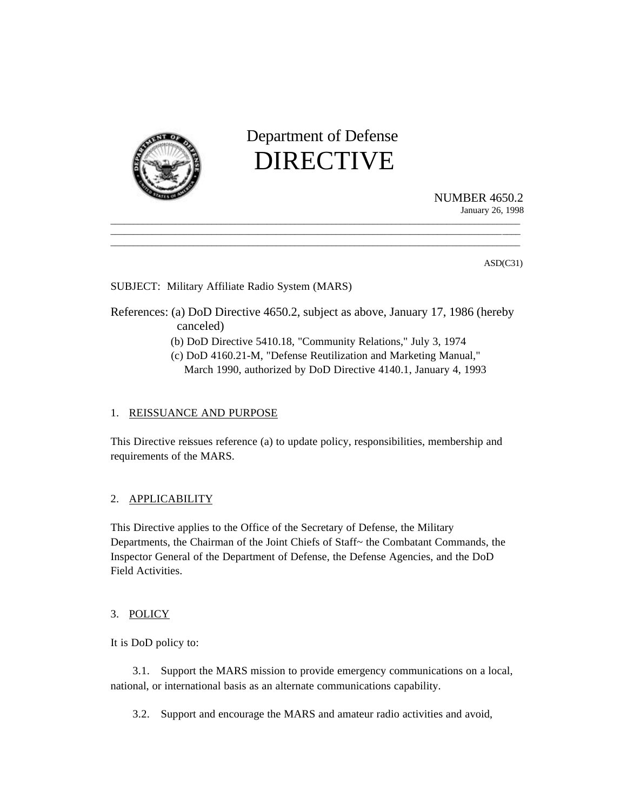

 Department of Defense DIRECTIVE

 $\overline{\phantom{a}}$  , and the contribution of the contribution of the contribution of the contribution of the contribution of the contribution of the contribution of the contribution of the contribution of the contribution of the \_\_\_\_\_\_\_\_\_\_\_\_\_\_\_\_\_\_\_\_\_\_\_\_\_\_\_\_\_\_\_\_\_\_\_\_\_\_\_\_\_\_\_\_\_\_\_\_\_\_\_\_\_\_\_\_\_\_\_\_\_\_\_\_\_\_\_\_\_\_\_\_\_\_\_\_\_\_\_\_\_\_\_\_\_\_\_\_\_  $\overline{\phantom{a}}$  , and the contribution of the contribution of the contribution of the contribution of the contribution of the contribution of the contribution of the contribution of the contribution of the contribution of the

NUMBER 4650.2 January 26, 1998

ASD(C31)

SUBJECT: Military Affiliate Radio System (MARS)

References: (a) DoD Directive 4650.2, subject as above, January 17, 1986 (hereby canceled)

- (b) DoD Directive 5410.18, "Community Relations," July 3, 1974
- (c) DoD 4160.21-M, "Defense Reutilization and Marketing Manual," March 1990, authorized by DoD Directive 4140.1, January 4, 1993

# 1. REISSUANCE AND PURPOSE

This Directive reissues reference (a) to update policy, responsibilities, membership and requirements of the MARS.

# 2. APPLICABILITY

This Directive applies to the Office of the Secretary of Defense, the Military Departments, the Chairman of the Joint Chiefs of Staff~ the Combatant Commands, the Inspector General of the Department of Defense, the Defense Agencies, and the DoD Field Activities.

### 3. POLICY

It is DoD policy to:

3.1. Support the MARS mission to provide emergency communications on a local, national, or international basis as an alternate communications capability.

3.2. Support and encourage the MARS and amateur radio activities and avoid,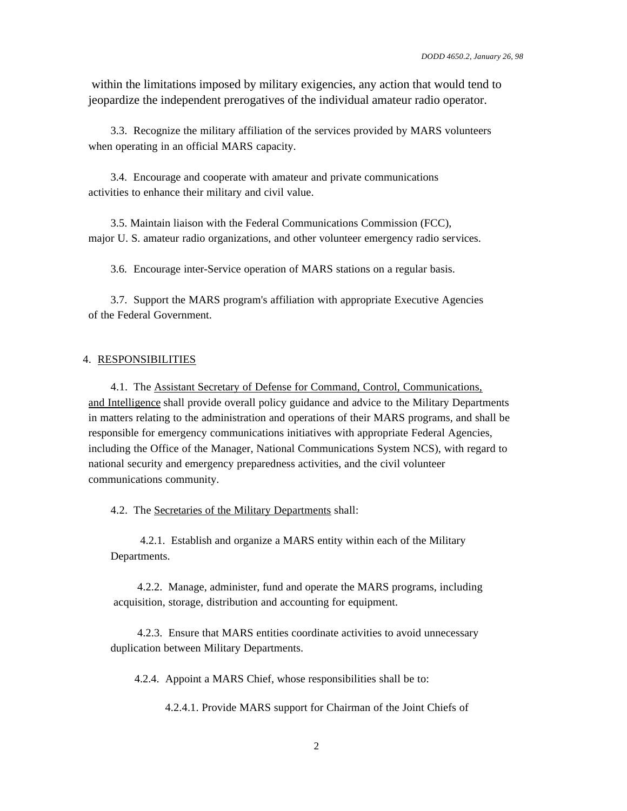within the limitations imposed by military exigencies, any action that would tend to jeopardize the independent prerogatives of the individual amateur radio operator.

3.3. Recognize the military affiliation of the services provided by MARS volunteers when operating in an official MARS capacity.

3.4. Encourage and cooperate with amateur and private communications activities to enhance their military and civil value.

3.5. Maintain liaison with the Federal Communications Commission (FCC), major U. S. amateur radio organizations, and other volunteer emergency radio services.

3.6. Encourage inter-Service operation of MARS stations on a regular basis.

3.7. Support the MARS program's affiliation with appropriate Executive Agencies of the Federal Government.

#### 4. RESPONSIBILITIES

4.1. The Assistant Secretary of Defense for Command, Control, Communications, and Intelligence shall provide overall policy guidance and advice to the Military Departments in matters relating to the administration and operations of their MARS programs, and shall be responsible for emergency communications initiatives with appropriate Federal Agencies, including the Office of the Manager, National Communications System NCS), with regard to national security and emergency preparedness activities, and the civil volunteer communications community.

4.2. The Secretaries of the Military Departments shall:

 4.2.1. Establish and organize a MARS entity within each of the Military Departments.

 4.2.2. Manage, administer, fund and operate the MARS programs, including acquisition, storage, distribution and accounting for equipment.

 4.2.3. Ensure that MARS entities coordinate activities to avoid unnecessary duplication between Military Departments.

4.2.4. Appoint a MARS Chief, whose responsibilities shall be to:

4.2.4.1. Provide MARS support for Chairman of the Joint Chiefs of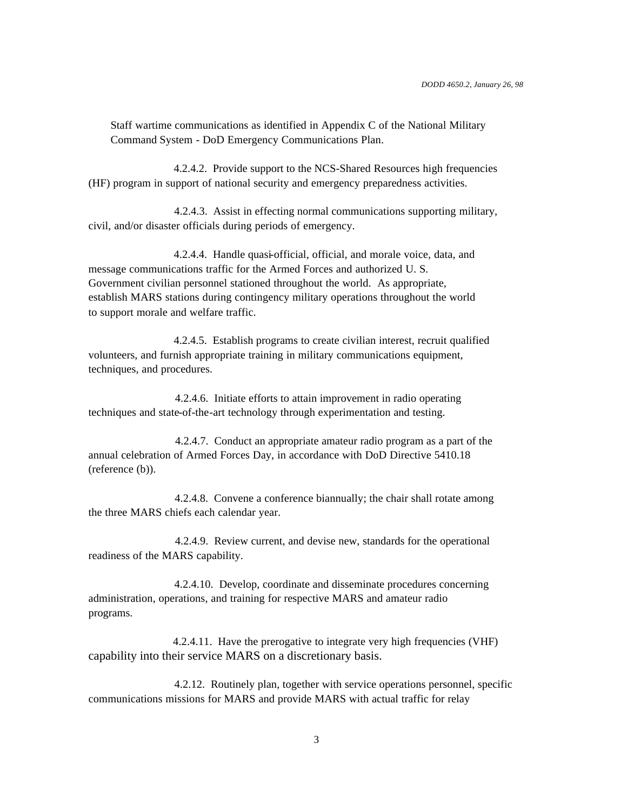Staff wartime communications as identified in Appendix C of the National Military Command System - DoD Emergency Communications Plan.

 4.2.4.2. Provide support to the NCS-Shared Resources high frequencies (HF) program in support of national security and emergency preparedness activities.

 4.2.4.3. Assist in effecting normal communications supporting military, civil, and/or disaster officials during periods of emergency.

 4.2.4.4. Handle quasi-official, official, and morale voice, data, and message communications traffic for the Armed Forces and authorized U. S. Government civilian personnel stationed throughout the world. As appropriate, establish MARS stations during contingency military operations throughout the world to support morale and welfare traffic.

 4.2.4.5. Establish programs to create civilian interest, recruit qualified volunteers, and furnish appropriate training in military communications equipment, techniques, and procedures.

 4.2.4.6. Initiate efforts to attain improvement in radio operating techniques and state-of-the-art technology through experimentation and testing.

 4.2.4.7. Conduct an appropriate amateur radio program as a part of the annual celebration of Armed Forces Day, in accordance with DoD Directive 5410.18 (reference (b)).

 4.2.4.8. Convene a conference biannually; the chair shall rotate among the three MARS chiefs each calendar year.

 4.2.4.9. Review current, and devise new, standards for the operational readiness of the MARS capability.

 4.2.4.10. Develop, coordinate and disseminate procedures concerning administration, operations, and training for respective MARS and amateur radio programs.

 4.2.4.11. Have the prerogative to integrate very high frequencies (VHF) capability into their service MARS on a discretionary basis.

 4.2.12. Routinely plan, together with service operations personnel, specific communications missions for MARS and provide MARS with actual traffic for relay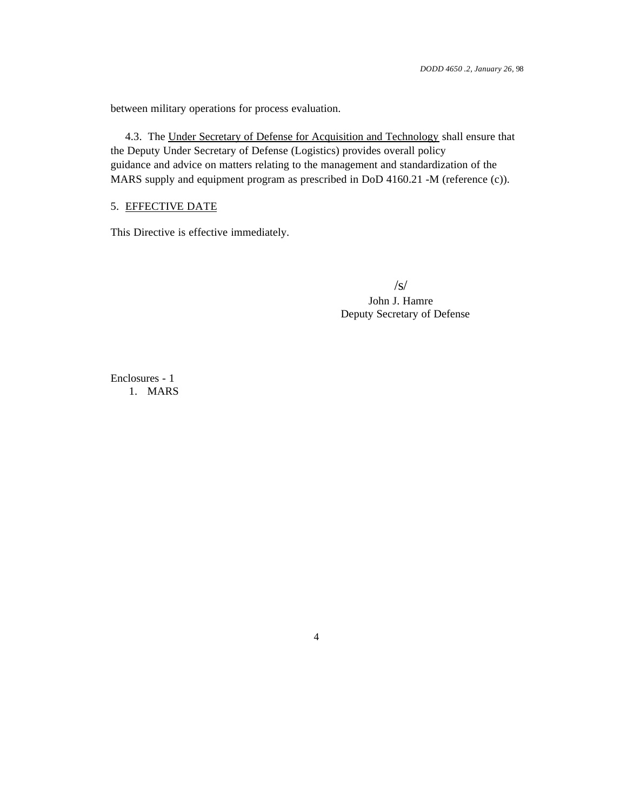between military operations for process evaluation.

 4.3. The Under Secretary of Defense for Acquisition and Technology shall ensure that the Deputy Under Secretary of Defense (Logistics) provides overall policy guidance and advice on matters relating to the management and standardization of the MARS supply and equipment program as prescribed in DoD 4160.21 -M (reference (c)).

## 5. EFFECTIVE DATE

This Directive is effective immediately.

 /s/ John J. Hamre Deputy Secretary of Defense

Enclosures - 1 1. MARS

4